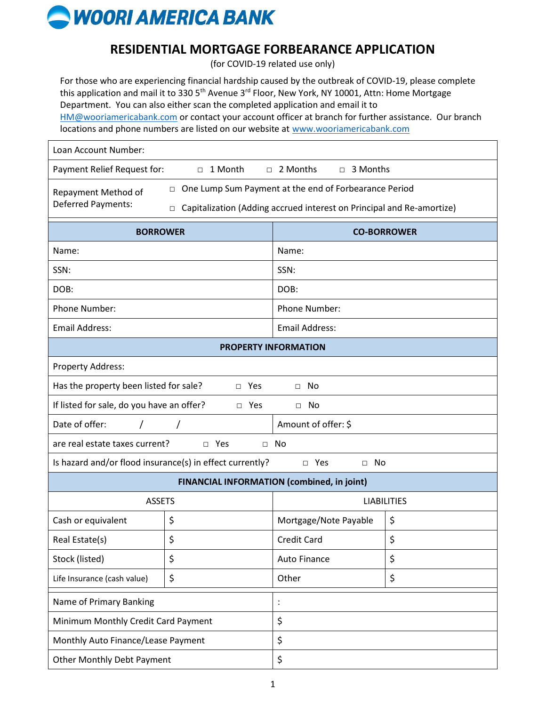

| RESIDENTIAL MORTGAGE FORBEARANCE APPLICATION<br>(for COVID-19 related use only)                                                                                                                                                                                                                                                                                                                                                                                                                                   |    |                       |    |
|-------------------------------------------------------------------------------------------------------------------------------------------------------------------------------------------------------------------------------------------------------------------------------------------------------------------------------------------------------------------------------------------------------------------------------------------------------------------------------------------------------------------|----|-----------------------|----|
| For those who are experiencing financial hardship caused by the outbreak of COVID-19, please complete<br>this application and mail it to 330 5 <sup>th</sup> Avenue 3 <sup>rd</sup> Floor, New York, NY 10001, Attn: Home Mortgage<br>Department. You can also either scan the completed application and email it to<br>HM@wooriamericabank.com or contact your account officer at branch for further assistance. Our branch<br>locations and phone numbers are listed on our website at www.wooriamericabank.com |    |                       |    |
| Loan Account Number:                                                                                                                                                                                                                                                                                                                                                                                                                                                                                              |    |                       |    |
| □ 2 Months<br>Payment Relief Request for:<br>□ 1 Month<br>□ 3 Months                                                                                                                                                                                                                                                                                                                                                                                                                                              |    |                       |    |
| One Lump Sum Payment at the end of Forbearance Period<br>$\Box$<br>Repayment Method of<br><b>Deferred Payments:</b><br>Capitalization (Adding accrued interest on Principal and Re-amortize)<br>$\Box$                                                                                                                                                                                                                                                                                                            |    |                       |    |
| <b>BORROWER</b>                                                                                                                                                                                                                                                                                                                                                                                                                                                                                                   |    | <b>CO-BORROWER</b>    |    |
| Name:                                                                                                                                                                                                                                                                                                                                                                                                                                                                                                             |    | Name:                 |    |
| SSN:                                                                                                                                                                                                                                                                                                                                                                                                                                                                                                              |    | SSN:                  |    |
| DOB:                                                                                                                                                                                                                                                                                                                                                                                                                                                                                                              |    | DOB:                  |    |
| Phone Number:                                                                                                                                                                                                                                                                                                                                                                                                                                                                                                     |    | Phone Number:         |    |
| <b>Email Address:</b>                                                                                                                                                                                                                                                                                                                                                                                                                                                                                             |    | <b>Email Address:</b> |    |
| <b>PROPERTY INFORMATION</b>                                                                                                                                                                                                                                                                                                                                                                                                                                                                                       |    |                       |    |
| Property Address:                                                                                                                                                                                                                                                                                                                                                                                                                                                                                                 |    |                       |    |
| Has the property been listed for sale?<br>$\Box$ Yes<br>$\Box$ No                                                                                                                                                                                                                                                                                                                                                                                                                                                 |    |                       |    |
| If listed for sale, do you have an offer?<br>$\Box$ Yes<br>$\Box$ No                                                                                                                                                                                                                                                                                                                                                                                                                                              |    |                       |    |
| Date of offer:                                                                                                                                                                                                                                                                                                                                                                                                                                                                                                    |    | Amount of offer: \$   |    |
| are real estate taxes current?<br>□ Yes<br>$\Box$ No                                                                                                                                                                                                                                                                                                                                                                                                                                                              |    |                       |    |
| Is hazard and/or flood insurance(s) in effect currently?<br>$\square$ Yes<br>No<br>$\Box$                                                                                                                                                                                                                                                                                                                                                                                                                         |    |                       |    |
| <b>FINANCIAL INFORMATION (combined, in joint)</b>                                                                                                                                                                                                                                                                                                                                                                                                                                                                 |    |                       |    |
| <b>ASSETS</b>                                                                                                                                                                                                                                                                                                                                                                                                                                                                                                     |    | <b>LIABILITIES</b>    |    |
| Cash or equivalent                                                                                                                                                                                                                                                                                                                                                                                                                                                                                                | \$ | Mortgage/Note Payable | \$ |
| Real Estate(s)                                                                                                                                                                                                                                                                                                                                                                                                                                                                                                    | \$ | <b>Credit Card</b>    | \$ |
| Stock (listed)                                                                                                                                                                                                                                                                                                                                                                                                                                                                                                    | \$ | <b>Auto Finance</b>   | \$ |
| Life Insurance (cash value)                                                                                                                                                                                                                                                                                                                                                                                                                                                                                       | \$ | Other                 | \$ |
| Name of Primary Banking                                                                                                                                                                                                                                                                                                                                                                                                                                                                                           |    | $\ddot{\cdot}$        |    |
| Minimum Monthly Credit Card Payment                                                                                                                                                                                                                                                                                                                                                                                                                                                                               |    | \$                    |    |
| Monthly Auto Finance/Lease Payment                                                                                                                                                                                                                                                                                                                                                                                                                                                                                |    | \$                    |    |
| <b>Other Monthly Debt Payment</b>                                                                                                                                                                                                                                                                                                                                                                                                                                                                                 |    | \$                    |    |